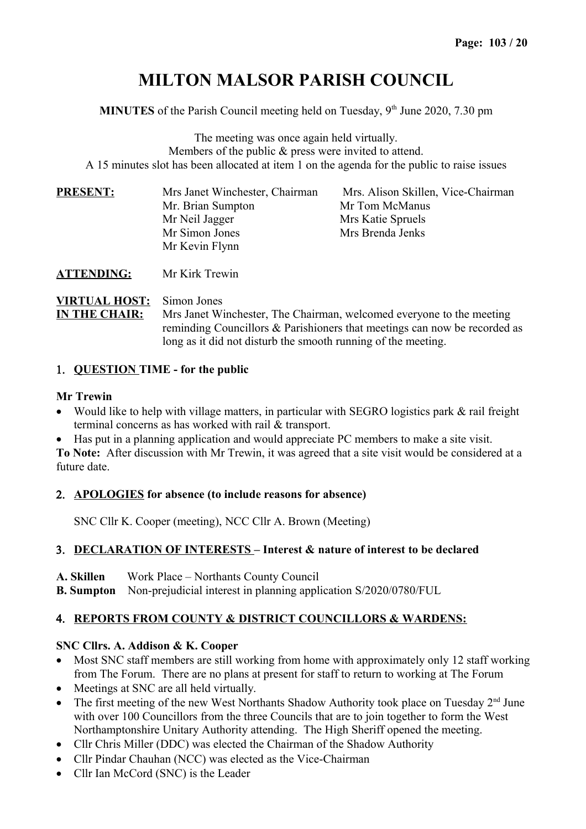# **MILTON MALSOR PARISH COUNCIL**

**MINUTES** of the Parish Council meeting held on Tuesday,  $9<sup>th</sup>$  June 2020, 7.30 pm

The meeting was once again held virtually. Members of the public & press were invited to attend. A 15 minutes slot has been allocated at item 1 on the agenda for the public to raise issues

| <b>PRESENT:</b> | Mrs Janet Winchester, Chairman | Mrs. Alison Skillen, Vice-Chairman |  |
|-----------------|--------------------------------|------------------------------------|--|
|                 | Mr. Brian Sumpton              | Mr Tom McManus                     |  |
|                 | Mr Neil Jagger                 | Mrs Katie Spruels                  |  |
|                 | Mr Simon Jones                 | Mrs Brenda Jenks                   |  |
|                 | Mr Kevin Flynn                 |                                    |  |
|                 |                                |                                    |  |

**ATTENDING:** Mr Kirk Trewin

**VIRTUAL HOST:** Simon Jones

**IN THE CHAIR:** Mrs Janet Winchester, The Chairman, welcomed everyone to the meeting reminding Councillors & Parishioners that meetings can now be recorded as long as it did not disturb the smooth running of the meeting.

#### 1. **QUESTION TIME - for the public**

#### **Mr Trewin**

- Would like to help with village matters, in particular with SEGRO logistics park & rail freight terminal concerns as has worked with rail & transport.
- Has put in a planning application and would appreciate PC members to make a site visit.

**To Note:** After discussion with Mr Trewin, it was agreed that a site visit would be considered at a future date.

#### 2. **APOLOGIES for absence (to include reasons for absence)**

SNC Cllr K. Cooper (meeting), NCC Cllr A. Brown (Meeting)

## 3. **DECLARATION OF INTERESTS – Interest & nature of interest to be declared**

**A. Skillen** Work Place – Northants County Council

**B. Sumpton** Non-prejudicial interest in planning application S/2020/0780/FUL

## 4. **REPORTS FROM COUNTY & DISTRICT COUNCILLORS & WARDENS:**

#### **SNC Cllrs. A. Addison & K. Cooper**

- Most SNC staff members are still working from home with approximately only 12 staff working from The Forum. There are no plans at present for staff to return to working at The Forum
- Meetings at SNC are all held virtually.
- The first meeting of the new West Northants Shadow Authority took place on Tuesday  $2<sup>nd</sup>$  June with over 100 Councillors from the three Councils that are to join together to form the West Northamptonshire Unitary Authority attending. The High Sheriff opened the meeting.
- Cllr Chris Miller (DDC) was elected the Chairman of the Shadow Authority
- Cllr Pindar Chauhan (NCC) was elected as the Vice-Chairman
- Cllr Ian McCord (SNC) is the Leader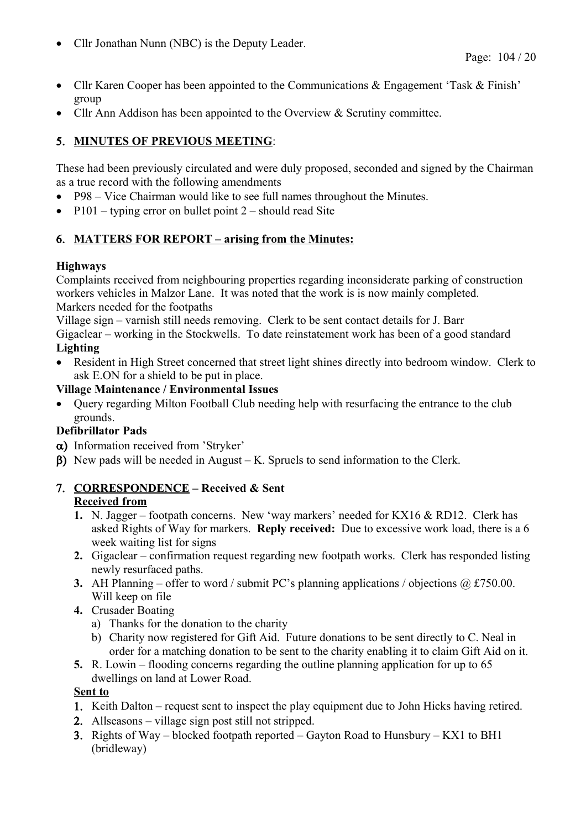• Cllr Jonathan Nunn (NBC) is the Deputy Leader.

- Cllr Karen Cooper has been appointed to the Communications & Engagement 'Task & Finish' group
- Cllr Ann Addison has been appointed to the Overview & Scrutiny committee.

## 5. **MINUTES OF PREVIOUS MEETING**:

These had been previously circulated and were duly proposed, seconded and signed by the Chairman as a true record with the following amendments

- P98 Vice Chairman would like to see full names throughout the Minutes.
- P101 typing error on bullet point  $2$  should read Site

## 6. **MATTERS FOR REPORT – arising from the Minutes:**

## **Highways**

Complaints received from neighbouring properties regarding inconsiderate parking of construction workers vehicles in Malzor Lane. It was noted that the work is is now mainly completed. Markers needed for the footpaths

Village sign – varnish still needs removing. Clerk to be sent contact details for J. Barr Gigaclear – working in the Stockwells. To date reinstatement work has been of a good standard **Lighting**

 Resident in High Street concerned that street light shines directly into bedroom window. Clerk to ask E.ON for a shield to be put in place.

#### **Village Maintenance / Environmental Issues**

• Query regarding Milton Football Club needing help with resurfacing the entrance to the club grounds.

## **Defibrillator Pads**

- a) Information received from 'Stryker'
- $\beta$ ) New pads will be needed in August K. Spruels to send information to the Clerk.

## 7. **CORRESPONDENCE – Received & Sent**

#### **Received from**

- **1.** N. Jagger footpath concerns. New 'way markers' needed for KX16 & RD12. Clerk has asked Rights of Way for markers. **Reply received:** Due to excessive work load, there is a 6 week waiting list for signs
- **2.** Gigaclear confirmation request regarding new footpath works. Clerk has responded listing newly resurfaced paths.
- **3.** AH Planning offer to word / submit PC's planning applications / objections @ £750.00. Will keep on file
- **4.** Crusader Boating
	- a) Thanks for the donation to the charity
	- b) Charity now registered for Gift Aid. Future donations to be sent directly to C. Neal in order for a matching donation to be sent to the charity enabling it to claim Gift Aid on it.
- **5.** R. Lowin flooding concerns regarding the outline planning application for up to 65 dwellings on land at Lower Road.

#### **Sent to**

- 1. Keith Dalton request sent to inspect the play equipment due to John Hicks having retired.
- 2. Allseasons village sign post still not stripped.
- 3. Rights of Way blocked footpath reported Gayton Road to Hunsbury KX1 to BH1 (bridleway)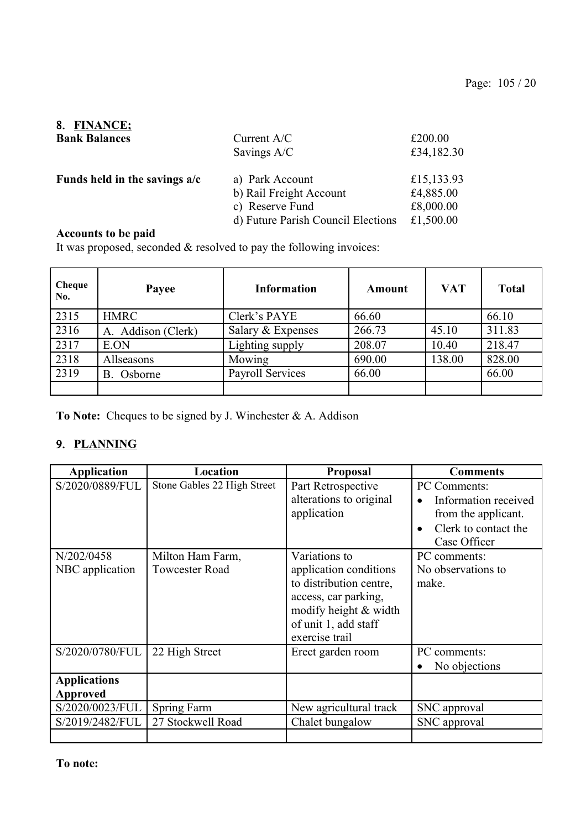#### 8. **FINANCE; Bank Bala**

| <b>Bank Balances</b>          | Current $A/C$                      | £200.00    |
|-------------------------------|------------------------------------|------------|
|                               | Savings A/C                        | £34,182.30 |
| Funds held in the savings a/c | a) Park Account                    | £15,133.93 |
|                               | b) Rail Freight Account            | £4,885.00  |
|                               | c) Reserve Fund                    | £8,000.00  |
|                               | d) Future Parish Council Elections | £1,500.00  |

## **Accounts to be paid**

It was proposed, seconded & resolved to pay the following invoices:

| Cheque<br>No. | Payee              | <b>Information</b>      | <b>Amount</b> | <b>VAT</b> | <b>Total</b> |
|---------------|--------------------|-------------------------|---------------|------------|--------------|
| 2315          | <b>HMRC</b>        | Clerk's PAYE            | 66.60         |            | 66.10        |
| 2316          | A. Addison (Clerk) | Salary & Expenses       | 266.73        | 45.10      | 311.83       |
| 2317          | E.ON               | Lighting supply         | 208.07        | 10.40      | 218.47       |
| 2318          | Allseasons         | Mowing                  | 690.00        | 138.00     | 828.00       |
| 2319          | Osborne<br>В.      | <b>Payroll Services</b> | 66.00         |            | 66.00        |
|               |                    |                         |               |            |              |

**To Note:** Cheques to be signed by J. Winchester & A. Addison

## 9. **PLANNING**

| <b>Application</b>                     | <b>Location</b>                           | <b>Proposal</b>                                                                                                                                               | <b>Comments</b>                                                                                     |
|----------------------------------------|-------------------------------------------|---------------------------------------------------------------------------------------------------------------------------------------------------------------|-----------------------------------------------------------------------------------------------------|
| S/2020/0889/FUL                        | Stone Gables 22 High Street               | Part Retrospective<br>alterations to original<br>application                                                                                                  | PC Comments:<br>Information received<br>from the applicant.<br>Clerk to contact the<br>Case Officer |
| N/202/0458<br>NBC application          | Milton Ham Farm,<br><b>Towcester Road</b> | Variations to<br>application conditions<br>to distribution centre,<br>access, car parking,<br>modify height & width<br>of unit 1, add staff<br>exercise trail | PC comments:<br>No observations to<br>make.                                                         |
| S/2020/0780/FUL                        | 22 High Street                            | Erect garden room                                                                                                                                             | PC comments:<br>No objections                                                                       |
| <b>Applications</b><br><b>Approved</b> |                                           |                                                                                                                                                               |                                                                                                     |
| S/2020/0023/FUL                        | Spring Farm                               | New agricultural track                                                                                                                                        | SNC approval                                                                                        |
| S/2019/2482/FUL                        | 27 Stockwell Road                         | Chalet bungalow                                                                                                                                               | SNC approval                                                                                        |
|                                        |                                           |                                                                                                                                                               |                                                                                                     |